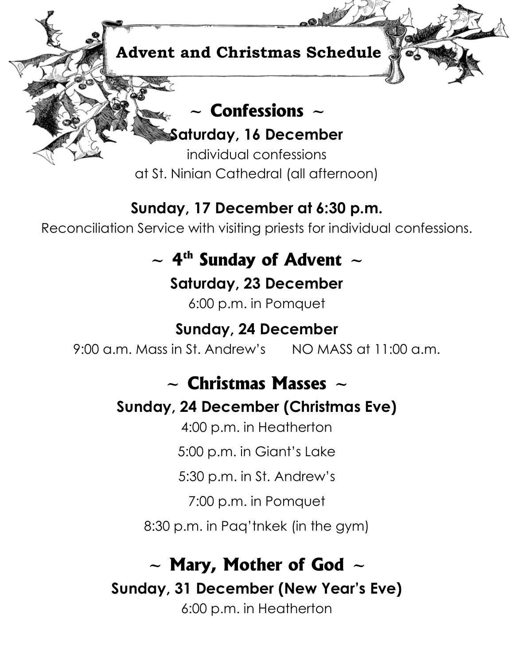

### **Sunday, 17 December at 6:30 p.m.**

Reconciliation Service with visiting priests for individual confessions.

### $\sim$  4<sup>th</sup> Sunday of Advent  $\sim$

**Saturday, 23 December**

6:00 p.m. in Pomquet

### **Sunday, 24 December**

9:00 a.m. Mass in St. Andrew's NO MASS at 11:00 a.m.

### **~ Christmas Masses ~**

### **Sunday, 24 December (Christmas Eve)**

4:00 p.m. in Heatherton

5:00 p.m. in Giant's Lake

5:30 p.m. in St. Andrew's

7:00 p.m. in Pomquet

8:30 p.m. in Paq'tnkek (in the gym)

## **~ Mary, Mother of God ~**

**Sunday, 31 December (New Year's Eve)**

6:00 p.m. in Heatherton